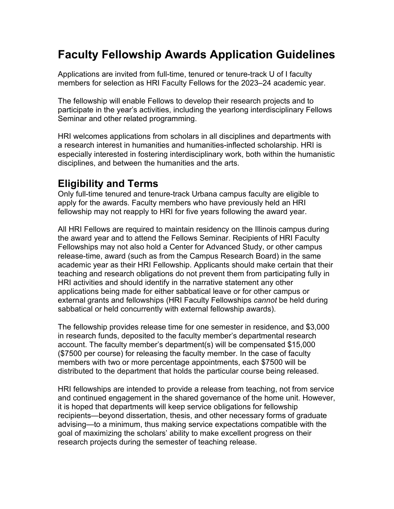# **Faculty Fellowship Awards Application Guidelines**

Applications are invited from full-time, tenured or tenure-track U of I faculty members for selection as HRI Faculty Fellows for the 2023–24 academic year.

The fellowship will enable Fellows to develop their research projects and to participate in the year's activities, including the yearlong interdisciplinary Fellows Seminar and other related programming.

HRI welcomes applications from scholars in all disciplines and departments with a research interest in humanities and humanities-inflected scholarship. HRI is especially interested in fostering interdisciplinary work, both within the humanistic disciplines, and between the humanities and the arts.

#### **Eligibility and Terms**

Only full-time tenured and tenure-track Urbana campus faculty are eligible to apply for the awards. Faculty members who have previously held an HRI fellowship may not reapply to HRI for five years following the award year.

All HRI Fellows are required to maintain residency on the Illinois campus during the award year and to attend the Fellows Seminar. Recipients of HRI Faculty Fellowships may not also hold a Center for Advanced Study, or other campus release-time, award (such as from the Campus Research Board) in the same academic year as their HRI Fellowship. Applicants should make certain that their teaching and research obligations do not prevent them from participating fully in HRI activities and should identify in the narrative statement any other applications being made for either sabbatical leave or for other campus or external grants and fellowships (HRI Faculty Fellowships *cannot* be held during sabbatical or held concurrently with external fellowship awards).

The fellowship provides release time for one semester in residence, and \$3,000 in research funds, deposited to the faculty member's departmental research account. The faculty member's department(s) will be compensated \$15,000 (\$7500 per course) for releasing the faculty member. In the case of faculty members with two or more percentage appointments, each \$7500 will be distributed to the department that holds the particular course being released.

HRI fellowships are intended to provide a release from teaching, not from service and continued engagement in the shared governance of the home unit. However, it is hoped that departments will keep service obligations for fellowship recipients—beyond dissertation, thesis, and other necessary forms of graduate advising—to a minimum, thus making service expectations compatible with the goal of maximizing the scholars' ability to make excellent progress on their research projects during the semester of teaching release.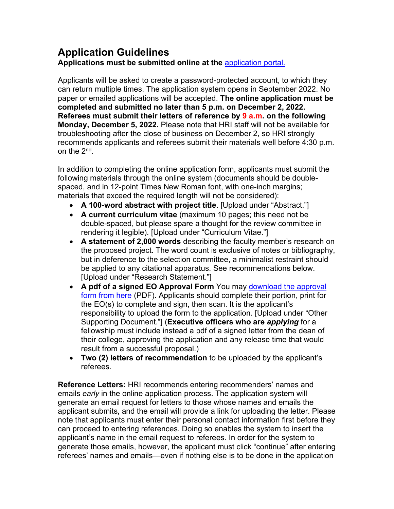## **Application Guidelines**

**Applications must be submitted online at the** [application portal.](https://my.atlas.illinois.edu/submit/go.asp?id=1687)

Applicants will be asked to create a password-protected account, to which they can return multiple times. The application system opens in September 2022. No paper or emailed applications will be accepted. **The online application must be completed and submitted no later than 5 p.m. on December 2, 2022. Referees must submit their letters of reference by 9 a.m. on the following Monday, December 5, 2022.** Please note that HRI staff will not be available for troubleshooting after the close of business on December 2, so HRI strongly recommends applicants and referees submit their materials well before 4:30 p.m. on the 2nd.

In addition to completing the online application form, applicants must submit the following materials through the online system (documents should be doublespaced, and in 12-point Times New Roman font, with one-inch margins; materials that exceed the required length will not be considered):

- **A 100-word abstract with project title**. [Upload under "Abstract."]
- **A current curriculum vitae** (maximum 10 pages; this need not be double-spaced, but please spare a thought for the review committee in rendering it legible). [Upload under "Curriculum Vitae."]
- **A statement of 2,000 words** describing the faculty member's research on the proposed project. The word count is exclusive of notes or bibliography, but in deference to the selection committee, a minimalist restraint should be applied to any citational apparatus. See recommendations below. [Upload under "Research Statement."]
- **A pdf of a signed EO Approval Form** You may download [the approval](https://hri.illinois.edu/sites/default/files/guidelines/Executive%20Officer%20Fellowship%20Form-2023-24.pdf)  form [from here](https://hri.illinois.edu/sites/default/files/guidelines/Executive%20Officer%20Fellowship%20Form-2023-24.pdf) (PDF). Applicants should complete their portion, print for the EO(s) to complete and sign, then scan. It is the applicant's responsibility to upload the form to the application. [Upload under "Other Supporting Document."] (**Executive officers who are** *applying* for a fellowship must include instead a pdf of a signed letter from the dean of their college, approving the application and any release time that would result from a successful proposal.)
- **Two (2) letters of recommendation** to be uploaded by the applicant's referees.

**Reference Letters:** HRI recommends entering recommenders' names and emails *early* in the online application process. The application system will generate an email request for letters to those whose names and emails the applicant submits, and the email will provide a link for uploading the letter. Please note that applicants must enter their personal contact information first before they can proceed to entering references. Doing so enables the system to insert the applicant's name in the email request to referees. In order for the system to generate those emails, however, the applicant must click "continue" after entering referees' names and emails—even if nothing else is to be done in the application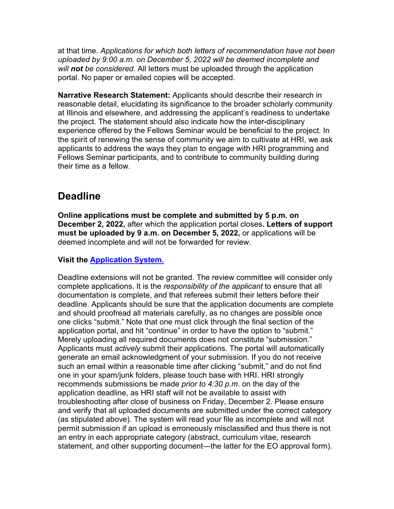at that time. *Applications for which both letters of recommendation have not been uploaded by 9:00 a.m. on December 5, 2022 will be deemed incomplete and will not be considered.* All letters must be uploaded through the application portal. No paper or emailed copies will be accepted.

**Narrative Research Statement:** Applicants should describe their research in reasonable detail, elucidating its significance to the broader scholarly community at Illinois and elsewhere, and addressing the applicant's readiness to undertake the project. The statement should also indicate how the inter-disciplinary experience offered by the Fellows Seminar would be beneficial to the project. In the spirit of renewing the sense of community we aim to cultivate at HRI, we ask applicants to address the ways they plan to engage with HRI programming and Fellows Seminar participants, and to contribute to community building during their time as a fellow.

#### **Deadline**

**Online applications must be complete and submitted by 5 p.m. on December 2, 2022,** after which the application portal closes**. Letters of support must be uploaded by 9 a.m. on December 5, 2022,** or applications will be deemed incomplete and will not be forwarded for review.

#### **Visit the [Application System.](https://my.atlas.illinois.edu/submit/go.asp?id=1687)**

Deadline extensions will not be granted. The review committee will consider only complete applications. It is the *responsibility of the applicant* to ensure that all documentation is complete, and that referees submit their letters before their deadline. Applicants should be sure that the application documents are complete and should proofread all materials carefully, as no changes are possible once one clicks "submit." Note that one must click through the final section of the application portal, and hit "continue" in order to have the option to "submit." Merely uploading all required documents does not constitute "submission." Applicants must *actively* submit their applications. The portal will automatically generate an email acknowledgment of your submission. If you do not receive such an email within a reasonable time after clicking "submit," and do not find one in your spam/junk folders, please touch base with HRI. HRI strongly recommends submissions be made *prior to 4:30 p.m*. on the day of the application deadline, as HRI staff will not be available to assist with troubleshooting after close of business on Friday, December 2. Please ensure and verify that all uploaded documents are submitted under the correct category (as stipulated above). The system will read your file as incomplete and will not permit submission if an upload is erroneously misclassified and thus there is not an entry in each appropriate category (abstract, curriculum vitae, research statement, and other supporting document—the latter for the EO approval form).